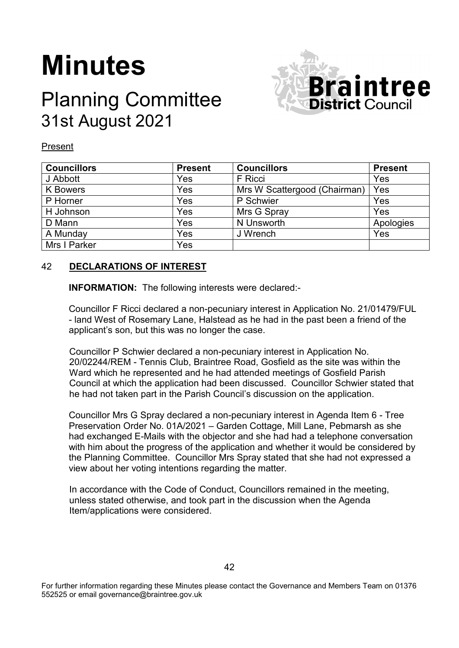# **Minutes**

# Planning Committee 31st August 2021



Present

| <b>Councillors</b> | <b>Present</b> | <b>Councillors</b>           | <b>Present</b> |
|--------------------|----------------|------------------------------|----------------|
| J Abbott           | Yes            | F Ricci                      | Yes            |
| <b>K</b> Bowers    | Yes            | Mrs W Scattergood (Chairman) | Yes            |
| P Horner           | Yes            | P Schwier                    | Yes            |
| H Johnson          | Yes            | Mrs G Spray                  | Yes            |
| D Mann             | Yes            | N Unsworth                   | Apologies      |
| A Munday           | Yes            | J Wrench                     | Yes            |
| Mrs I Parker       | Yes            |                              |                |

# 42 **DECLARATIONS OF INTEREST**

**INFORMATION:** The following interests were declared:-

Councillor F Ricci declared a non-pecuniary interest in Application No. 21/01479/FUL - land West of Rosemary Lane, Halstead as he had in the past been a friend of the applicant's son, but this was no longer the case.

Councillor P Schwier declared a non-pecuniary interest in Application No. 20/02244/REM - Tennis Club, Braintree Road, Gosfield as the site was within the Ward which he represented and he had attended meetings of Gosfield Parish Council at which the application had been discussed. Councillor Schwier stated that he had not taken part in the Parish Council's discussion on the application.

Councillor Mrs G Spray declared a non-pecuniary interest in Agenda Item 6 - Tree Preservation Order No. 01A/2021 – Garden Cottage, Mill Lane, Pebmarsh as she had exchanged E-Mails with the objector and she had had a telephone conversation with him about the progress of the application and whether it would be considered by the Planning Committee. Councillor Mrs Spray stated that she had not expressed a view about her voting intentions regarding the matter.

In accordance with the Code of Conduct, Councillors remained in the meeting, unless stated otherwise, and took part in the discussion when the Agenda Item/applications were considered.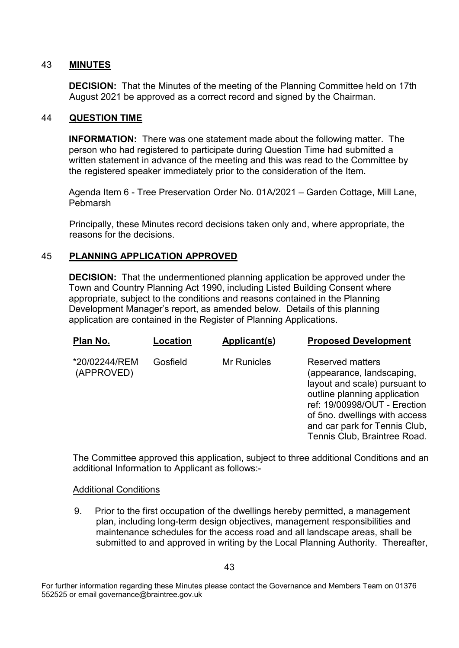# 43 **MINUTES**

**DECISION:** That the Minutes of the meeting of the Planning Committee held on 17th August 2021 be approved as a correct record and signed by the Chairman.

# 44 **QUESTION TIME**

**INFORMATION:** There was one statement made about the following matter. The person who had registered to participate during Question Time had submitted a written statement in advance of the meeting and this was read to the Committee by the registered speaker immediately prior to the consideration of the Item.

Agenda Item 6 - Tree Preservation Order No. 01A/2021 – Garden Cottage, Mill Lane, Pebmarsh

Principally, these Minutes record decisions taken only and, where appropriate, the reasons for the decisions.

#### 45 **PLANNING APPLICATION APPROVED**

**DECISION:** That the undermentioned planning application be approved under the Town and Country Planning Act 1990, including Listed Building Consent where appropriate, subject to the conditions and reasons contained in the Planning Development Manager's report, as amended below. Details of this planning application are contained in the Register of Planning Applications.

| Plan No.                    | Location | Applicant(s)       | <b>Proposed Development</b>                                                                                                                                                                                                                      |
|-----------------------------|----------|--------------------|--------------------------------------------------------------------------------------------------------------------------------------------------------------------------------------------------------------------------------------------------|
| *20/02244/REM<br>(APPROVED) | Gosfield | <b>Mr Runicles</b> | Reserved matters<br>(appearance, landscaping,<br>layout and scale) pursuant to<br>outline planning application<br>ref: 19/00998/OUT - Erection<br>of 5no. dwellings with access<br>and car park for Tennis Club,<br>Tennis Club, Braintree Road. |

The Committee approved this application, subject to three additional Conditions and an additional Information to Applicant as follows:-

#### Additional Conditions

9. Prior to the first occupation of the dwellings hereby permitted, a management plan, including long-term design objectives, management responsibilities and maintenance schedules for the access road and all landscape areas, shall be submitted to and approved in writing by the Local Planning Authority. Thereafter,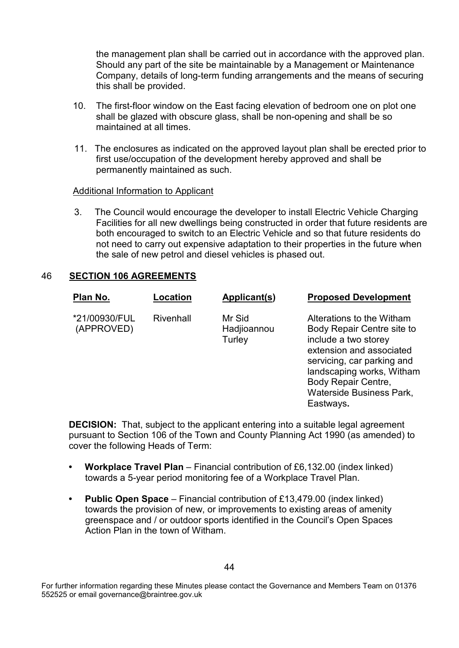the management plan shall be carried out in accordance with the approved plan. Should any part of the site be maintainable by a Management or Maintenance Company, details of long-term funding arrangements and the means of securing this shall be provided.

- 10. The first-floor window on the East facing elevation of bedroom one on plot one shall be glazed with obscure glass, shall be non-opening and shall be so maintained at all times.
- 11. The enclosures as indicated on the approved layout plan shall be erected prior to first use/occupation of the development hereby approved and shall be permanently maintained as such.

#### Additional Information to Applicant

3. The Council would encourage the developer to install Electric Vehicle Charging Facilities for all new dwellings being constructed in order that future residents are both encouraged to switch to an Electric Vehicle and so that future residents do not need to carry out expensive adaptation to their properties in the future when the sale of new petrol and diesel vehicles is phased out.

# 46 **SECTION 106 AGREEMENTS**

| Plan No.                    | Location  | Applicant(s)                    | <b>Proposed Development</b>                                                                                                                                                                                                             |
|-----------------------------|-----------|---------------------------------|-----------------------------------------------------------------------------------------------------------------------------------------------------------------------------------------------------------------------------------------|
| *21/00930/FUL<br>(APPROVED) | Rivenhall | Mr Sid<br>Hadjioannou<br>Turley | Alterations to the Witham<br>Body Repair Centre site to<br>include a two storey<br>extension and associated<br>servicing, car parking and<br>landscaping works, Witham<br><b>Body Repair Centre,</b><br><b>Waterside Business Park.</b> |

**DECISION:** That, subject to the applicant entering into a suitable legal agreement pursuant to Section 106 of the Town and County Planning Act 1990 (as amended) to cover the following Heads of Term:

Eastways**.**

- **Workplace Travel Plan** Financial contribution of £6,132.00 (index linked) towards a 5-year period monitoring fee of a Workplace Travel Plan.
- **Public Open Space** Financial contribution of £13,479.00 (index linked) towards the provision of new, or improvements to existing areas of amenity greenspace and / or outdoor sports identified in the Council's Open Spaces Action Plan in the town of Witham.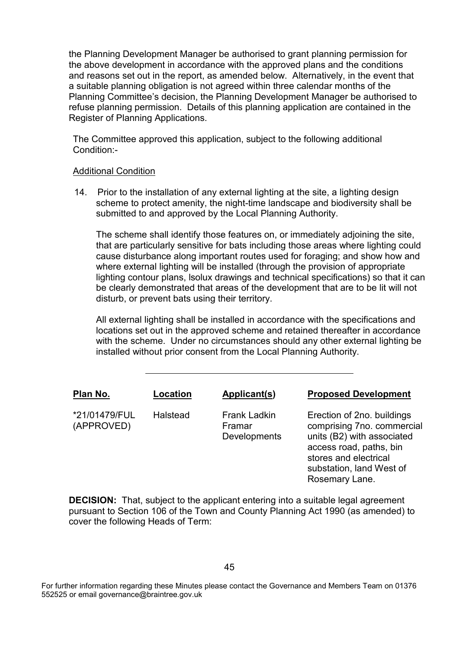the Planning Development Manager be authorised to grant planning permission for the above development in accordance with the approved plans and the conditions and reasons set out in the report, as amended below. Alternatively, in the event that a suitable planning obligation is not agreed within three calendar months of the Planning Committee's decision, the Planning Development Manager be authorised to refuse planning permission. Details of this planning application are contained in the Register of Planning Applications.

The Committee approved this application, subject to the following additional Condition:-

#### Additional Condition

14. Prior to the installation of any external lighting at the site, a lighting design scheme to protect amenity, the night-time landscape and biodiversity shall be submitted to and approved by the Local Planning Authority.

The scheme shall identify those features on, or immediately adjoining the site, that are particularly sensitive for bats including those areas where lighting could cause disturbance along important routes used for foraging; and show how and where external lighting will be installed (through the provision of appropriate lighting contour plans, lsolux drawings and technical specifications) so that it can be clearly demonstrated that areas of the development that are to be lit will not disturb, or prevent bats using their territory.

All external lighting shall be installed in accordance with the specifications and locations set out in the approved scheme and retained thereafter in accordance with the scheme. Under no circumstances should any other external lighting be installed without prior consent from the Local Planning Authority.

| Plan No.                    | Location | Applicant(s)                                  | <b>Proposed Development</b>                                                                                                                                                              |
|-----------------------------|----------|-----------------------------------------------|------------------------------------------------------------------------------------------------------------------------------------------------------------------------------------------|
| *21/01479/FUL<br>(APPROVED) | Halstead | <b>Frank Ladkin</b><br>Framar<br>Developments | Erection of 2no. buildings<br>comprising 7no. commercial<br>units (B2) with associated<br>access road, paths, bin<br>stores and electrical<br>substation, land West of<br>Rosemary Lane. |

**DECISION:** That, subject to the applicant entering into a suitable legal agreement pursuant to Section 106 of the Town and County Planning Act 1990 (as amended) to cover the following Heads of Term: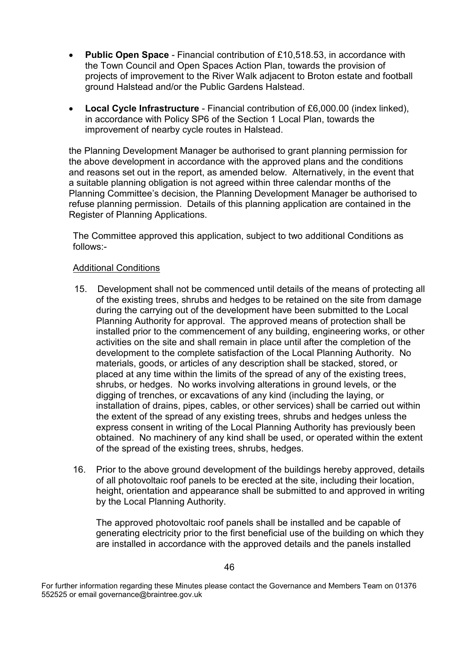- **Public Open Space** Financial contribution of £10,518.53, in accordance with the Town Council and Open Spaces Action Plan, towards the provision of projects of improvement to the River Walk adjacent to Broton estate and football ground Halstead and/or the Public Gardens Halstead.
- **Local Cycle Infrastructure** Financial contribution of £6,000.00 (index linked), in accordance with Policy SP6 of the Section 1 Local Plan, towards the improvement of nearby cycle routes in Halstead.

the Planning Development Manager be authorised to grant planning permission for the above development in accordance with the approved plans and the conditions and reasons set out in the report, as amended below. Alternatively, in the event that a suitable planning obligation is not agreed within three calendar months of the Planning Committee's decision, the Planning Development Manager be authorised to refuse planning permission. Details of this planning application are contained in the Register of Planning Applications.

The Committee approved this application, subject to two additional Conditions as follows:-

# Additional Conditions

- 15. Development shall not be commenced until details of the means of protecting all of the existing trees, shrubs and hedges to be retained on the site from damage during the carrying out of the development have been submitted to the Local Planning Authority for approval. The approved means of protection shall be installed prior to the commencement of any building, engineering works, or other activities on the site and shall remain in place until after the completion of the development to the complete satisfaction of the Local Planning Authority. No materials, goods, or articles of any description shall be stacked, stored, or placed at any time within the limits of the spread of any of the existing trees, shrubs, or hedges. No works involving alterations in ground levels, or the digging of trenches, or excavations of any kind (including the laying, or installation of drains, pipes, cables, or other services) shall be carried out within the extent of the spread of any existing trees, shrubs and hedges unless the express consent in writing of the Local Planning Authority has previously been obtained. No machinery of any kind shall be used, or operated within the extent of the spread of the existing trees, shrubs, hedges.
- 16. Prior to the above ground development of the buildings hereby approved, details of all photovoltaic roof panels to be erected at the site, including their location, height, orientation and appearance shall be submitted to and approved in writing by the Local Planning Authority.

The approved photovoltaic roof panels shall be installed and be capable of generating electricity prior to the first beneficial use of the building on which they are installed in accordance with the approved details and the panels installed

For further information regarding these Minutes please contact the Governance and Members Team on 01376 552525 or email governance@braintree.gov.uk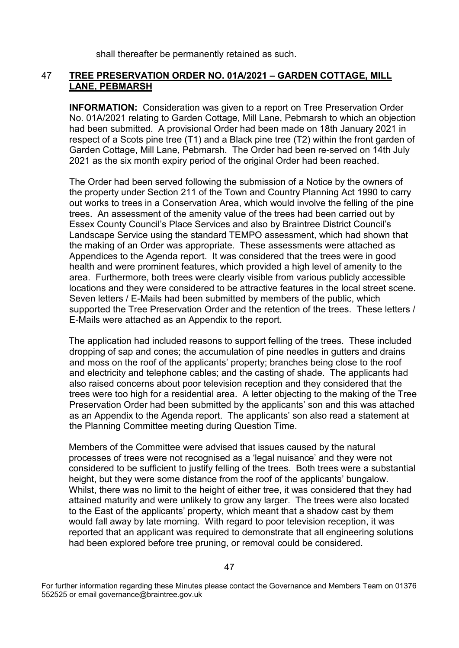shall thereafter be permanently retained as such.

# 47 **TREE PRESERVATION ORDER NO. 01A/2021 – GARDEN COTTAGE, MILL LANE, PEBMARSH**

**INFORMATION:** Consideration was given to a report on Tree Preservation Order No. 01A/2021 relating to Garden Cottage, Mill Lane, Pebmarsh to which an objection had been submitted. A provisional Order had been made on 18th January 2021 in respect of a Scots pine tree (T1) and a Black pine tree (T2) within the front garden of Garden Cottage, Mill Lane, Pebmarsh. The Order had been re-served on 14th July 2021 as the six month expiry period of the original Order had been reached.

The Order had been served following the submission of a Notice by the owners of the property under Section 211 of the Town and Country Planning Act 1990 to carry out works to trees in a Conservation Area, which would involve the felling of the pine trees. An assessment of the amenity value of the trees had been carried out by Essex County Council's Place Services and also by Braintree District Council's Landscape Service using the standard TEMPO assessment, which had shown that the making of an Order was appropriate. These assessments were attached as Appendices to the Agenda report. It was considered that the trees were in good health and were prominent features, which provided a high level of amenity to the area. Furthermore, both trees were clearly visible from various publicly accessible locations and they were considered to be attractive features in the local street scene. Seven letters / E-Mails had been submitted by members of the public, which supported the Tree Preservation Order and the retention of the trees. These letters / E-Mails were attached as an Appendix to the report.

The application had included reasons to support felling of the trees. These included dropping of sap and cones; the accumulation of pine needles in gutters and drains and moss on the roof of the applicants' property; branches being close to the roof and electricity and telephone cables; and the casting of shade. The applicants had also raised concerns about poor television reception and they considered that the trees were too high for a residential area. A letter objecting to the making of the Tree Preservation Order had been submitted by the applicants' son and this was attached as an Appendix to the Agenda report. The applicants' son also read a statement at the Planning Committee meeting during Question Time.

Members of the Committee were advised that issues caused by the natural processes of trees were not recognised as a 'legal nuisance' and they were not considered to be sufficient to justify felling of the trees. Both trees were a substantial height, but they were some distance from the roof of the applicants' bungalow. Whilst, there was no limit to the height of either tree, it was considered that they had attained maturity and were unlikely to grow any larger. The trees were also located to the East of the applicants' property, which meant that a shadow cast by them would fall away by late morning. With regard to poor television reception, it was reported that an applicant was required to demonstrate that all engineering solutions had been explored before tree pruning, or removal could be considered.

For further information regarding these Minutes please contact the Governance and Members Team on 01376 552525 or email governance@braintree.gov.uk